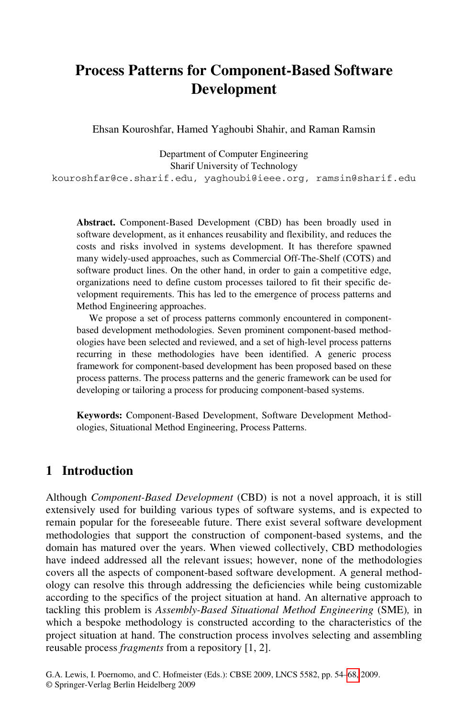# **Process Patterns for Component-Based Software Development**

Ehsan Kouroshfar, Hamed Yaghoubi Shahir, and Raman Ramsin

Department of Computer Engineering Sharif University of Technology kouroshfar@ce.sharif.edu, yaghoubi@ieee.org, ramsin@sharif.edu

**Abstract.** Component-Based Development (CBD) has been broadly used in software development, as it enhances reusability and flexibility, and reduces the costs and risks involved in systems development. It has therefore spawned many widely-used approaches, such as Commercial Off-The-Shelf (COTS) and software product lines. On the other hand, in order to gain a competitive edge, organizations need to define custom processes tailored to fit their specific development requirements. This has led to the emergence of process patterns and Method Engineering approaches.

We propose a set of process patterns commonly encountered in componentbased development methodologies. Seven prominent component-based methodologies have been selected and reviewed, and a set of high-level process patterns recurring in these methodologies have been identified. A generic process framework for component-based development has been proposed based on these process patterns. The process patterns and the generic framework can be used for developing or tailoring a process for producing component-based systems.

**Keywords:** Component-Based Development, Software Development Methodologies, Situational Method Engineering, Process Patterns.

### **1 Introduction**

Although *Component-Based Development* (CBD) is not a novel approach, it is still extensively used for building various types of software systems, and is expected to remain popular for the foreseeable future. There exist several software development methodologies that support the construction of component-based systems, and the domain has matured over the years. When viewed collectively, CBD methodologies have indeed addressed all the relevant issues; however, none of the methodologies covers all the aspects of component-based soft[ware](#page-14-0) development. A general methodology can resolve this through addressing the deficiencies while being customizable according to the specifics of the project situation at hand. An alternative approach to tackling this problem is *Assembly-Based Situational Method Engineering* (SME)*,* in which a bespoke methodology is constructed according to the characteristics of the project situation at hand. The construction process involves selecting and assembling reusable process *fragments* from a repository [1, 2].

G.A. Lewis, I. Poernomo, and C. Hofmeister (Eds.): CBSE 2009, LNCS 5582, pp. 54–68, 2009. © Springer-Verlag Berlin Heidelberg 2009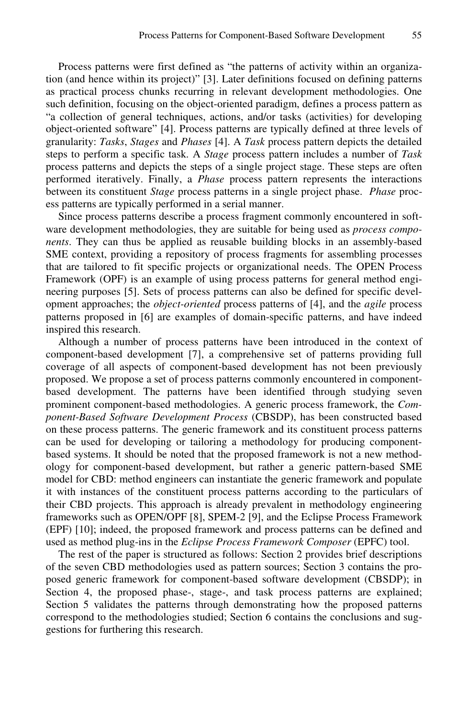Process patterns were first defined as "the patterns of activity within an organization (and hence within its project)" [3]. Later definitions focused on defining patterns as practical process chunks recurring in relevant development methodologies. One such definition, focusing on the object-oriented paradigm, defines a process pattern as "a collection of general techniques, actions, and/or tasks (activities) for developing object-oriented software" [4]. Process patterns are typically defined at three levels of granularity: *Tasks*, *Stages* and *Phases* [4]. A *Task* process pattern depicts the detailed steps to perform a specific task. A *Stage* process pattern includes a number of *Task* process patterns and depicts the steps of a single project stage. These steps are often performed iteratively. Finally, a *Phase* process pattern represents the interactions between its constituent *Stage* process patterns in a single project phase. *Phase* process patterns are typically performed in a serial manner.

Since process patterns describe a process fragment commonly encountered in software development methodologies, they are suitable for being used as *process components*. They can thus be applied as reusable building blocks in an assembly-based SME context, providing a repository of process fragments for assembling processes that are tailored to fit specific projects or organizational needs. The OPEN Process Framework (OPF) is an example of using process patterns for general method engineering purposes [5]. Sets of process patterns can also be defined for specific development approaches; the *object-oriented* process patterns of [4], and the *agile* process patterns proposed in [6] are examples of domain-specific patterns, and have indeed inspired this research.

Although a number of process patterns have been introduced in the context of component-based development [7], a comprehensive set of patterns providing full coverage of all aspects of component-based development has not been previously proposed. We propose a set of process patterns commonly encountered in componentbased development. The patterns have been identified through studying seven prominent component-based methodologies. A generic process framework, the *Component-Based Software Development Process* (CBSDP), has been constructed based on these process patterns. The generic framework and its constituent process patterns can be used for developing or tailoring a methodology for producing componentbased systems. It should be noted that the proposed framework is not a new methodology for component-based development, but rather a generic pattern-based SME model for CBD: method engineers can instantiate the generic framework and populate it with instances of the constituent process patterns according to the particulars of their CBD projects. This approach is already prevalent in methodology engineering frameworks such as OPEN/OPF [8], SPEM-2 [9], and the Eclipse Process Framework (EPF) [10]; indeed, the proposed framework and process patterns can be defined and used as method plug-ins in the *Eclipse Process Framework Composer* (EPFC) tool.

The rest of the paper is structured as follows: Section 2 provides brief descriptions of the seven CBD methodologies used as pattern sources; Section 3 contains the proposed generic framework for component-based software development (CBSDP); in Section 4, the proposed phase-, stage-, and task process patterns are explained; Section 5 validates the patterns through demonstrating how the proposed patterns correspond to the methodologies studied; Section 6 contains the conclusions and suggestions for furthering this research.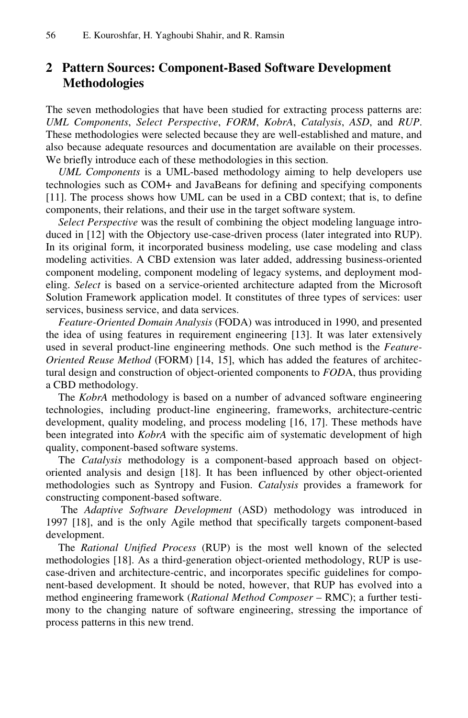# **2 Pattern Sources: Component-Based Software Development Methodologies**

The seven methodologies that have been studied for extracting process patterns are: *UML Components*, *Select Perspective*, *FORM*, *KobrA*, *Catalysis*, *ASD*, and *RUP*. These methodologies were selected because they are well-established and mature, and also because adequate resources and documentation are available on their processes. We briefly introduce each of these methodologies in this section.

*UML Components* is a UML-based methodology aiming to help developers use technologies such as COM+ and JavaBeans for defining and specifying components [11]. The process shows how UML can be used in a CBD context; that is, to define components, their relations, and their use in the target software system.

*Select Perspective* was the result of combining the object modeling language introduced in [12] with the Objectory use-case-driven process (later integrated into RUP). In its original form, it incorporated business modeling, use case modeling and class modeling activities. A CBD extension was later added, addressing business-oriented component modeling, component modeling of legacy systems, and deployment modeling. *Select* is based on a service-oriented architecture adapted from the Microsoft Solution Framework application model. It constitutes of three types of services: user services, business service, and data services.

*Feature-Oriented Domain Analysis* (FODA) was introduced in 1990, and presented the idea of using features in requirement engineering [13]. It was later extensively used in several product-line engineering methods. One such method is the *Feature-Oriented Reuse Method* (FORM) [14, 15], which has added the features of architectural design and construction of object-oriented components to *FOD*A, thus providing a CBD methodology.

The *KobrA* methodology is based on a number of advanced software engineering technologies, including product-line engineering, frameworks, architecture-centric development, quality modeling, and process modeling [16, 17]. These methods have been integrated into *KobrA* with the specific aim of systematic development of high quality, component-based software systems.

The *Catalysis* methodology is a component-based approach based on objectoriented analysis and design [18]. It has been influenced by other object-oriented methodologies such as Syntropy and Fusion. *Catalysis* provides a framework for constructing component-based software.

 The *Adaptive Software Development* (ASD) methodology was introduced in 1997 [18], and is the only Agile method that specifically targets component-based development.

The *Rational Unified Process* (RUP) is the most well known of the selected methodologies [18]. As a third-generation object-oriented methodology, RUP is usecase-driven and architecture-centric, and incorporates specific guidelines for component-based development. It should be noted, however, that RUP has evolved into a method engineering framework (*Rational Method Composer* – RMC); a further testimony to the changing nature of software engineering, stressing the importance of process patterns in this new trend.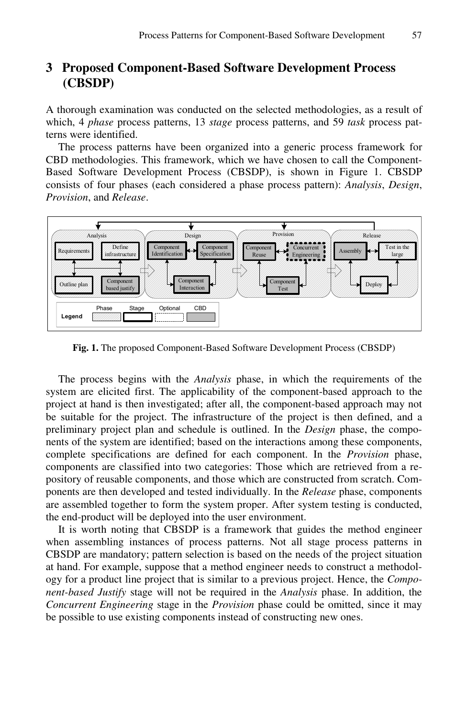## **3 Proposed Component-Based Software Development Process (CBSDP)**

A thorough examination was conducted on the selected methodologies, as a result of which, 4 *phase* process patterns, 13 *stage* process patterns, and 59 *task* process patterns were identified.

The process patterns have been organized into a generic process framework for CBD methodologies. This framework, which we have chosen to call the Component-Based Software Development Process (CBSDP), is shown in Figure 1. CBSDP consists of four phases (each considered a phase process pattern): *Analysis*, *Design*, *Provision*, and *Release*.



**Fig. 1.** The proposed Component-Based Software Development Process (CBSDP)

The process begins with the *Analysis* phase, in which the requirements of the system are elicited first. The applicability of the component-based approach to the project at hand is then investigated; after all, the component-based approach may not be suitable for the project. The infrastructure of the project is then defined, and a preliminary project plan and schedule is outlined. In the *Design* phase, the components of the system are identified; based on the interactions among these components, complete specifications are defined for each component. In the *Provision* phase, components are classified into two categories: Those which are retrieved from a repository of reusable components, and those which are constructed from scratch. Components are then developed and tested individually. In the *Release* phase, components are assembled together to form the system proper. After system testing is conducted, the end-product will be deployed into the user environment.

It is worth noting that CBSDP is a framework that guides the method engineer when assembling instances of process patterns. Not all stage process patterns in CBSDP are mandatory; pattern selection is based on the needs of the project situation at hand. For example, suppose that a method engineer needs to construct a methodology for a product line project that is similar to a previous project. Hence, the *Component-based Justify* stage will not be required in the *Analysis* phase. In addition, the *Concurrent Engineering* stage in the *Provision* phase could be omitted, since it may be possible to use existing components instead of constructing new ones.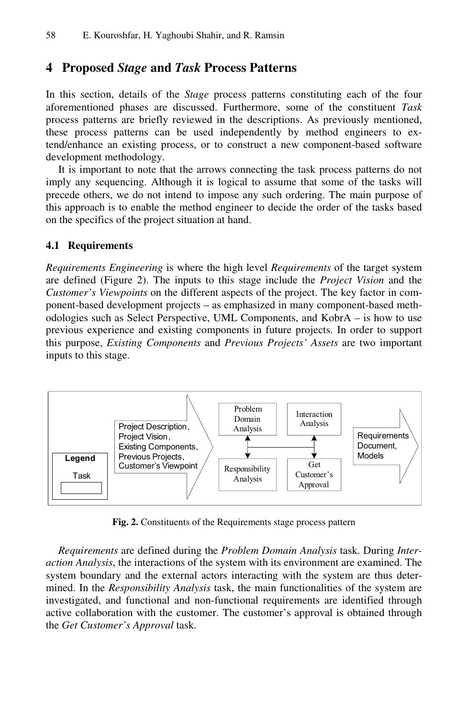# **4 Proposed** *Stage* **and** *Task* **Process Patterns**

In this section, details of the *Stage* process patterns constituting each of the four aforementioned phases are discussed. Furthermore, some of the constituent *Task*  process patterns are briefly reviewed in the descriptions. As previously mentioned, these process patterns can be used independently by method engineers to extend/enhance an existing process, or to construct a new component-based software development methodology.

It is important to note that the arrows connecting the task process patterns do not imply any sequencing. Although it is logical to assume that some of the tasks will precede others, we do not intend to impose any such ordering. The main purpose of this approach is to enable the method engineer to decide the order of the tasks based on the specifics of the project situation at hand.

#### **4.1 Requirements**

*Requirements Engineering* is where the high level *Requirements* of the target system are defined (Figure 2). The inputs to this stage include the *Project Vision* and the *Customer's Viewpoints* on the different aspects of the project. The key factor in component-based development projects – as emphasized in many component-based methodologies such as Select Perspective, UML Components, and KobrA – is how to use previous experience and existing components in future projects. In order to support this purpose, *Existing Components* and *Previous Projects' Assets* are two important inputs to this stage.



**Fig. 2.** Constituents of the Requirements stage process pattern

*Requirements* are defined during the *Problem Domain Analysis* task. During *Interaction Analysis*, the interactions of the system with its environment are examined. The system boundary and the external actors interacting with the system are thus determined. In the *Responsibility Analysis* task, the main functionalities of the system are investigated, and functional and non-functional requirements are identified through active collaboration with the customer. The customer's approval is obtained through the *Get Customer's Approval* task.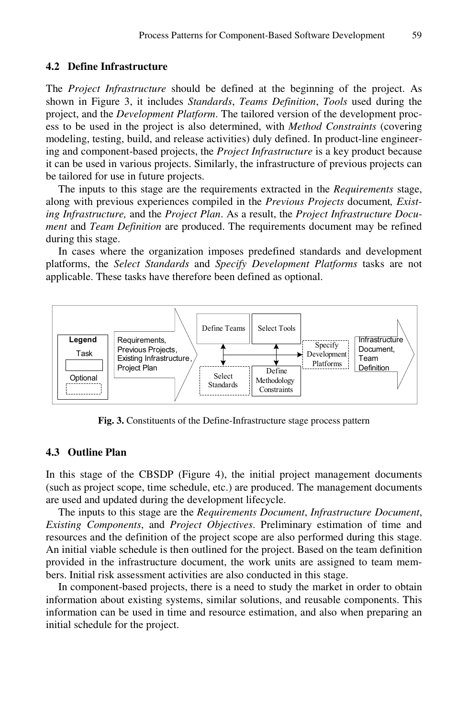#### **4.2 Define Infrastructure**

The *Project Infrastructure* should be defined at the beginning of the project. As shown in Figure 3, it includes *Standards*, *Teams Definition*, *Tools* used during the project, and the *Development Platform*. The tailored version of the development process to be used in the project is also determined, with *Method Constraints* (covering modeling, testing, build, and release activities) duly defined. In product-line engineering and component-based projects, the *Project Infrastructure* is a key product because it can be used in various projects. Similarly, the infrastructure of previous projects can be tailored for use in future projects.

The inputs to this stage are the requirements extracted in the *Requirements* stage, along with previous experiences compiled in the *Previous Projects* document*, Existing Infrastructure,* and the *Project Plan*. As a result, the *Project Infrastructure Document* and *Team Definition* are produced. The requirements document may be refined during this stage.

In cases where the organization imposes predefined standards and development platforms, the *Select Standards* and *Specify Development Platforms* tasks are not applicable. These tasks have therefore been defined as optional.



**Fig. 3.** Constituents of the Define-Infrastructure stage process pattern

#### **4.3 Outline Plan**

In this stage of the CBSDP (Figure 4), the initial project management documents (such as project scope, time schedule, etc.) are produced. The management documents are used and updated during the development lifecycle.

The inputs to this stage are the *Requirements Document*, *Infrastructure Document*, *Existing Components*, and *Project Objectives*. Preliminary estimation of time and resources and the definition of the project scope are also performed during this stage. An initial viable schedule is then outlined for the project. Based on the team definition provided in the infrastructure document, the work units are assigned to team members. Initial risk assessment activities are also conducted in this stage.

In component-based projects, there is a need to study the market in order to obtain information about existing systems, similar solutions, and reusable components. This information can be used in time and resource estimation, and also when preparing an initial schedule for the project.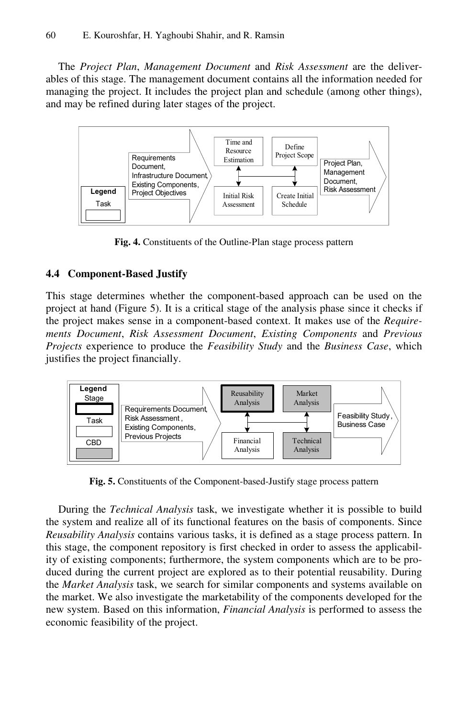The *Project Plan*, *Management Document* and *Risk Assessment* are the deliverables of this stage. The management document contains all the information needed for managing the project. It includes the project plan and schedule (among other things), and may be refined during later stages of the project.



**Fig. 4.** Constituents of the Outline-Plan stage process pattern

### **4.4 Component-Based Justify**

This stage determines whether the component-based approach can be used on the project at hand (Figure 5). It is a critical stage of the analysis phase since it checks if the project makes sense in a component-based context. It makes use of the *Requirements Document*, *Risk Assessment Document*, *Existing Components* and *Previous Projects* experience to produce the *Feasibility Study* and the *Business Case*, which justifies the project financially.



**Fig. 5.** Constituents of the Component-based-Justify stage process pattern

During the *Technical Analysis* task, we investigate whether it is possible to build the system and realize all of its functional features on the basis of components. Since *Reusability Analysis* contains various tasks, it is defined as a stage process pattern. In this stage, the component repository is first checked in order to assess the applicability of existing components; furthermore, the system components which are to be produced during the current project are explored as to their potential reusability. During the *Market Analysis* task, we search for similar components and systems available on the market. We also investigate the marketability of the components developed for the new system. Based on this information, *Financial Analysis* is performed to assess the economic feasibility of the project.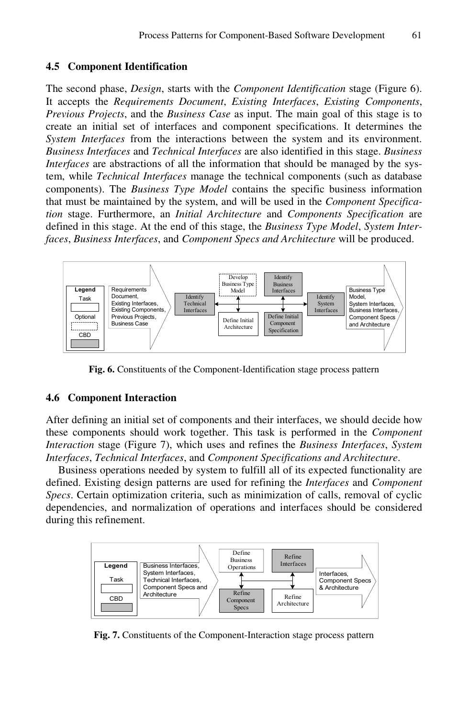#### **4.5 Component Identification**

The second phase, *Design*, starts with the *Component Identification* stage (Figure 6). It accepts the *Requirements Document*, *Existing Interfaces*, *Existing Components*, *Previous Projects*, and the *Business Case* as input. The main goal of this stage is to create an initial set of interfaces and component specifications. It determines the *System Interfaces* from the interactions between the system and its environment. *Business Interfaces* and *Technical Interfaces* are also identified in this stage. *Business Interfaces* are abstractions of all the information that should be managed by the system, while *Technical Interfaces* manage the technical components (such as database components). The *Business Type Model* contains the specific business information that must be maintained by the system, and will be used in the *Component Specification* stage. Furthermore, an *Initial Architecture* and *Components Specification* are defined in this stage. At the end of this stage, the *Business Type Model*, *System Interfaces*, *Business Interfaces*, and *Component Specs and Architecture* will be produced.



**Fig. 6.** Constituents of the Component-Identification stage process pattern

#### **4.6 Component Interaction**

After defining an initial set of components and their interfaces, we should decide how these components should work together. This task is performed in the *Component Interaction* stage (Figure 7), which uses and refines the *Business Interfaces*, *System Interfaces*, *Technical Interfaces*, and *Component Specifications and Architecture*.

Business operations needed by system to fulfill all of its expected functionality are defined. Existing design patterns are used for refining the *Interfaces* and *Component Specs*. Certain optimization criteria, such as minimization of calls, removal of cyclic dependencies, and normalization of operations and interfaces should be considered during this refinement.



**Fig. 7.** Constituents of the Component-Interaction stage process pattern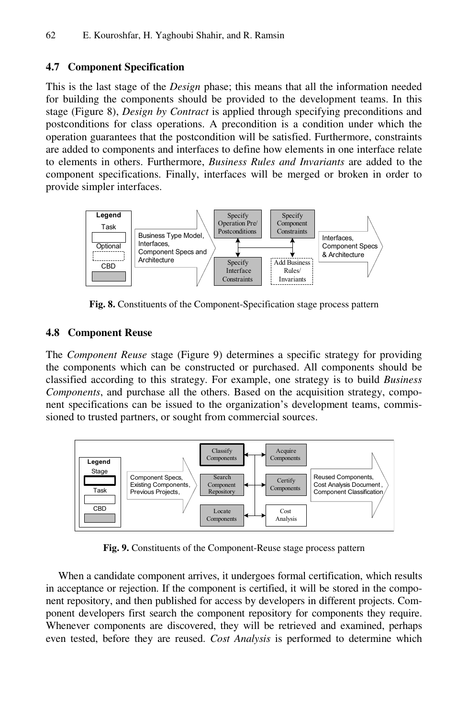### **4.7 Component Specification**

This is the last stage of the *Design* phase; this means that all the information needed for building the components should be provided to the development teams. In this stage (Figure 8), *Design by Contract* is applied through specifying preconditions and postconditions for class operations. A precondition is a condition under which the operation guarantees that the postcondition will be satisfied. Furthermore, constraints are added to components and interfaces to define how elements in one interface relate to elements in others. Furthermore, *Business Rules and Invariants* are added to the component specifications. Finally, interfaces will be merged or broken in order to provide simpler interfaces.



**Fig. 8.** Constituents of the Component-Specification stage process pattern

#### **4.8 Component Reuse**

The *Component Reuse* stage (Figure 9) determines a specific strategy for providing the components which can be constructed or purchased. All components should be classified according to this strategy. For example, one strategy is to build *Business Components*, and purchase all the others. Based on the acquisition strategy, component specifications can be issued to the organization's development teams, commissioned to trusted partners, or sought from commercial sources.



**Fig. 9.** Constituents of the Component-Reuse stage process pattern

When a candidate component arrives, it undergoes formal certification, which results in acceptance or rejection. If the component is certified, it will be stored in the component repository, and then published for access by developers in different projects. Component developers first search the component repository for components they require. Whenever components are discovered, they will be retrieved and examined, perhaps even tested, before they are reused. *Cost Analysis* is performed to determine which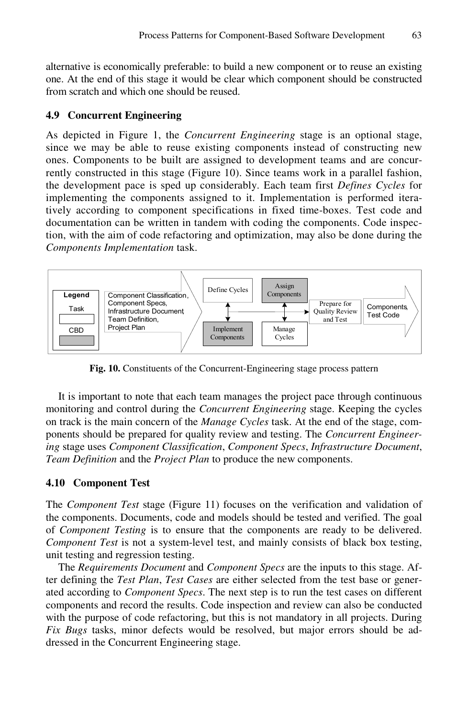alternative is economically preferable: to build a new component or to reuse an existing one. At the end of this stage it would be clear which component should be constructed from scratch and which one should be reused.

#### **4.9 Concurrent Engineering**

As depicted in Figure 1, the *Concurrent Engineering* stage is an optional stage, since we may be able to reuse existing components instead of constructing new ones. Components to be built are assigned to development teams and are concurrently constructed in this stage (Figure 10). Since teams work in a parallel fashion, the development pace is sped up considerably. Each team first *Defines Cycles* for implementing the components assigned to it. Implementation is performed iteratively according to component specifications in fixed time-boxes. Test code and documentation can be written in tandem with coding the components. Code inspection, with the aim of code refactoring and optimization, may also be done during the *Components Implementation* task.



**Fig. 10.** Constituents of the Concurrent-Engineering stage process pattern

It is important to note that each team manages the project pace through continuous monitoring and control during the *Concurrent Engineering* stage. Keeping the cycles on track is the main concern of the *Manage Cycles* task. At the end of the stage, components should be prepared for quality review and testing. The *Concurrent Engineering* stage uses *Component Classification*, *Component Specs*, *Infrastructure Document*, *Team Definition* and the *Project Plan* to produce the new components.

#### **4.10 Component Test**

The *Component Test* stage (Figure 11) focuses on the verification and validation of the components. Documents, code and models should be tested and verified. The goal of *Component Testing* is to ensure that the components are ready to be delivered. *Component Test* is not a system-level test, and mainly consists of black box testing, unit testing and regression testing.

The *Requirements Document* and *Component Specs* are the inputs to this stage. After defining the *Test Plan*, *Test Cases* are either selected from the test base or generated according to *Component Specs*. The next step is to run the test cases on different components and record the results. Code inspection and review can also be conducted with the purpose of code refactoring, but this is not mandatory in all projects. During *Fix Bugs* tasks, minor defects would be resolved, but major errors should be addressed in the Concurrent Engineering stage.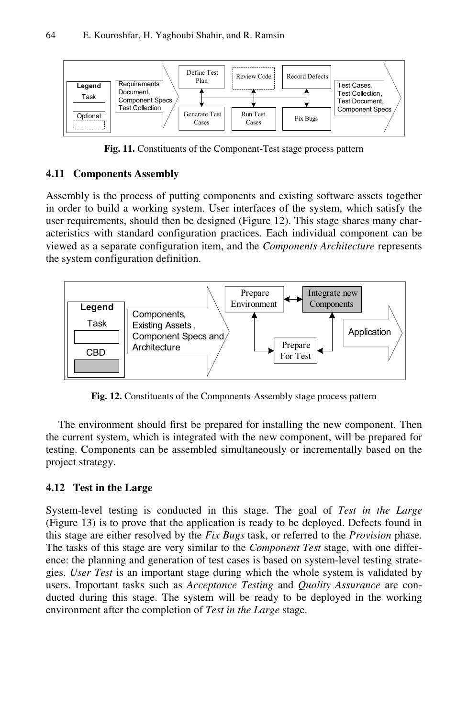

**Fig. 11.** Constituents of the Component-Test stage process pattern

### **4.11 Components Assembly**

Assembly is the process of putting components and existing software assets together in order to build a working system. User interfaces of the system, which satisfy the user requirements, should then be designed (Figure 12). This stage shares many characteristics with standard configuration practices. Each individual component can be viewed as a separate configuration item, and the *Components Architecture* represents the system configuration definition.



**Fig. 12.** Constituents of the Components-Assembly stage process pattern

The environment should first be prepared for installing the new component. Then the current system, which is integrated with the new component, will be prepared for testing. Components can be assembled simultaneously or incrementally based on the project strategy.

### **4.12 Test in the Large**

System-level testing is conducted in this stage. The goal of *Test in the Large*  (Figure 13) is to prove that the application is ready to be deployed. Defects found in this stage are either resolved by the *Fix Bugs* task, or referred to the *Provision* phase. The tasks of this stage are very similar to the *Component Test* stage, with one difference: the planning and generation of test cases is based on system-level testing strategies. *User Test* is an important stage during which the whole system is validated by users. Important tasks such as *Acceptance Testing* and *Quality Assurance* are conducted during this stage. The system will be ready to be deployed in the working environment after the completion of *Test in the Large* stage.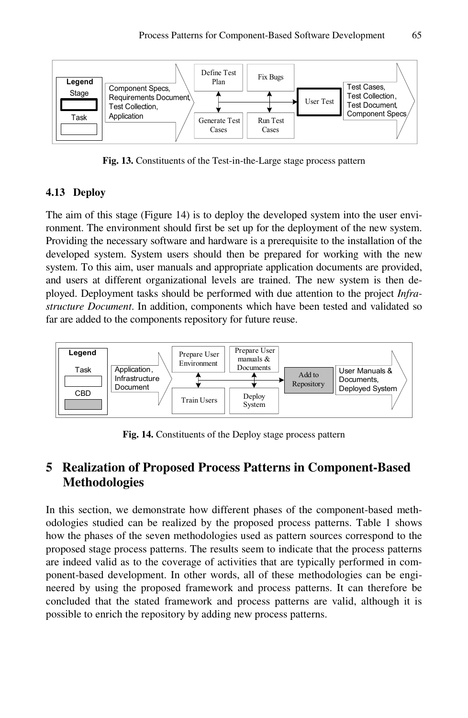

**Fig. 13.** Constituents of the Test-in-the-Large stage process pattern

#### **4.13 Deploy**

The aim of this stage (Figure 14) is to deploy the developed system into the user environment. The environment should first be set up for the deployment of the new system. Providing the necessary software and hardware is a prerequisite to the installation of the developed system. System users should then be prepared for working with the new system. To this aim, user manuals and appropriate application documents are provided, and users at different organizational levels are trained. The new system is then deployed. Deployment tasks should be performed with due attention to the project *Infrastructure Document*. In addition, components which have been tested and validated so far are added to the components repository for future reuse.



**Fig. 14.** Constituents of the Deploy stage process pattern

# **5 Realization of Proposed Process Patterns in Component-Based Methodologies**

In this section, we demonstrate how different phases of the component-based methodologies studied can be realized by the proposed process patterns. Table 1 shows how the phases of the seven methodologies used as pattern sources correspond to the proposed stage process patterns. The results seem to indicate that the process patterns are indeed valid as to the coverage of activities that are typically performed in component-based development. In other words, all of these methodologies can be engineered by using the proposed framework and process patterns. It can therefore be concluded that the stated framework and process patterns are valid, although it is possible to enrich the repository by adding new process patterns.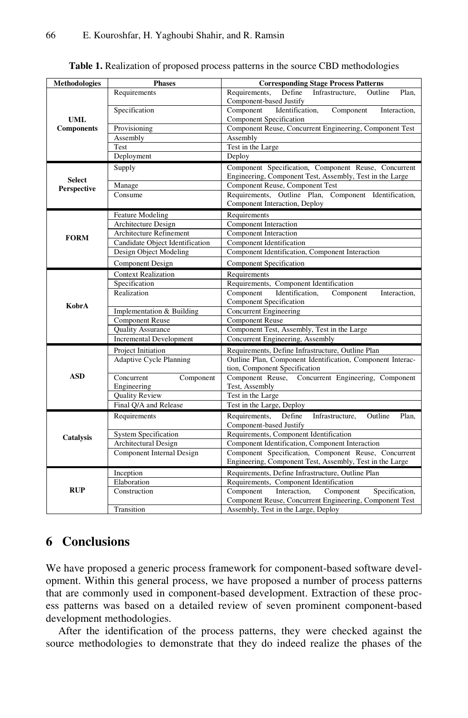| <b>Methodologies</b>                | <b>Phases</b>                                              | <b>Corresponding Stage Process Patterns</b>                                               |  |  |  |  |
|-------------------------------------|------------------------------------------------------------|-------------------------------------------------------------------------------------------|--|--|--|--|
|                                     | Requirements                                               | Requirements,<br>Define<br>Infrastructure.<br>Outline<br>Plan.                            |  |  |  |  |
|                                     |                                                            | Component-based Justify                                                                   |  |  |  |  |
| UML<br><b>Components</b>            | Specification                                              | Component<br>Identification,<br>Component<br>Interaction,                                 |  |  |  |  |
|                                     |                                                            | <b>Component Specification</b>                                                            |  |  |  |  |
|                                     | Provisioning                                               | Component Reuse, Concurrent Engineering, Component Test                                   |  |  |  |  |
|                                     | Assembly                                                   | Assembly                                                                                  |  |  |  |  |
|                                     | Test                                                       | Test in the Large                                                                         |  |  |  |  |
|                                     | Deployment                                                 | Deploy                                                                                    |  |  |  |  |
| <b>Select</b><br><b>Perspective</b> | Supply                                                     | Component Specification, Component Reuse, Concurrent                                      |  |  |  |  |
|                                     |                                                            | Engineering, Component Test, Assembly, Test in the Large                                  |  |  |  |  |
|                                     | Manage                                                     | Component Reuse, Component Test                                                           |  |  |  |  |
|                                     | Consume                                                    | Requirements, Outline Plan, Component Identification,                                     |  |  |  |  |
|                                     |                                                            | Component Interaction, Deploy                                                             |  |  |  |  |
| <b>FORM</b>                         | <b>Feature Modeling</b>                                    | Requirements                                                                              |  |  |  |  |
|                                     | <b>Architecture Design</b>                                 | Component Interaction                                                                     |  |  |  |  |
|                                     | <b>Architecture Refinement</b>                             | Component Interaction                                                                     |  |  |  |  |
|                                     | Candidate Object Identification                            | Component Identification                                                                  |  |  |  |  |
|                                     | Design Object Modeling                                     | Component Identification, Component Interaction                                           |  |  |  |  |
|                                     | Component Design                                           | <b>Component Specification</b>                                                            |  |  |  |  |
| KobrA                               | <b>Context Realization</b>                                 | Requirements                                                                              |  |  |  |  |
|                                     | Specification                                              | Requirements, Component Identification                                                    |  |  |  |  |
|                                     | Realization                                                | Identification.<br>Component<br>Component<br>Interaction,                                 |  |  |  |  |
|                                     |                                                            | Component Specification                                                                   |  |  |  |  |
|                                     | Implementation & Building                                  | <b>Concurrent Engineering</b>                                                             |  |  |  |  |
|                                     | <b>Component Reuse</b>                                     | <b>Component Reuse</b>                                                                    |  |  |  |  |
|                                     | <b>Quality Assurance</b>                                   | Component Test, Assembly, Test in the Large                                               |  |  |  |  |
|                                     | <b>Incremental Development</b>                             | Concurrent Engineering, Assembly                                                          |  |  |  |  |
|                                     | Project Initiation                                         | Requirements, Define Infrastructure, Outline Plan                                         |  |  |  |  |
| <b>ASD</b>                          | <b>Adaptive Cycle Planning</b>                             | Outline Plan, Component Identification, Component Interac-                                |  |  |  |  |
|                                     |                                                            | tion, Component Specification                                                             |  |  |  |  |
|                                     | Concurrent<br>Component                                    | Component Reuse, Concurrent Engineering, Component                                        |  |  |  |  |
|                                     | Engineering                                                | Test, Assembly                                                                            |  |  |  |  |
|                                     | <b>Quality Review</b><br>Final Q/A and Release             | Test in the Large                                                                         |  |  |  |  |
|                                     |                                                            | Test in the Large, Deploy                                                                 |  |  |  |  |
|                                     | Requirements                                               | Define<br>Infrastructure,<br>Outline<br>Requirements,<br>Plan,                            |  |  |  |  |
| Catalysis                           |                                                            | Component-based Justify                                                                   |  |  |  |  |
|                                     | <b>System Specification</b><br><b>Architectural Design</b> | Requirements, Component Identification<br>Component Identification, Component Interaction |  |  |  |  |
|                                     | Component Internal Design                                  | Component Specification, Component Reuse, Concurrent                                      |  |  |  |  |
|                                     |                                                            | Engineering, Component Test, Assembly, Test in the Large                                  |  |  |  |  |
| <b>RUP</b>                          | Inception                                                  | Requirements, Define Infrastructure, Outline Plan                                         |  |  |  |  |
|                                     | Elaboration                                                | Requirements, Component Identification                                                    |  |  |  |  |
|                                     | Construction                                               | Component<br>Interaction.<br>Component<br>Specification,                                  |  |  |  |  |
|                                     |                                                            | Component Reuse, Concurrent Engineering, Component Test                                   |  |  |  |  |
|                                     | Transition                                                 | Assembly, Test in the Large, Deploy                                                       |  |  |  |  |

|  |  |  |  |  |  | <b>Table 1.</b> Realization of proposed process patterns in the source CBD methodologies |
|--|--|--|--|--|--|------------------------------------------------------------------------------------------|
|--|--|--|--|--|--|------------------------------------------------------------------------------------------|

### **6 Conclusions**

We have proposed a generic process framework for component-based software development. Within this general process, we have proposed a number of process patterns that are commonly used in component-based development. Extraction of these process patterns was based on a detailed review of seven prominent component-based development methodologies.

After the identification of the process patterns, they were checked against the source methodologies to demonstrate that they do indeed realize the phases of the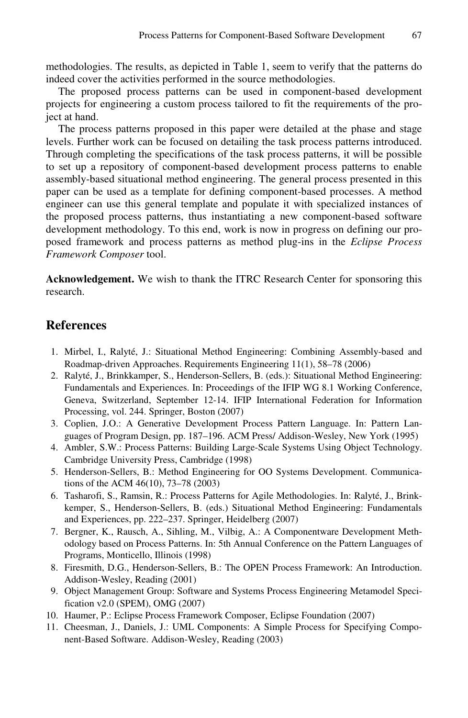methodologies. The results, as depicted in Table 1, seem to verify that the patterns do indeed cover the activities performed in the source methodologies.

The proposed process patterns can be used in component-based development projects for engineering a custom process tailored to fit the requirements of the project at hand.

The process patterns proposed in this paper were detailed at the phase and stage levels. Further work can be focused on detailing the task process patterns introduced. Through completing the specifications of the task process patterns, it will be possible to set up a repository of component-based development process patterns to enable assembly-based situational method engineering. The general process presented in this paper can be used as a template for defining component-based processes. A method engineer can use this general template and populate it with specialized instances of the proposed process patterns, thus instantiating a new component-based software development methodology. To this end, work is now in progress on defining our proposed framework and process patterns as method plug-ins in the *Eclipse Process Framework Composer* tool.

**Acknowledgement.** We wish to thank the ITRC Research Center for sponsoring this research.

### **References**

- 1. Mirbel, I., Ralyté, J.: Situational Method Engineering: Combining Assembly-based and Roadmap-driven Approaches. Requirements Engineering 11(1), 58–78 (2006)
- 2. Ralyté, J., Brinkkamper, S., Henderson-Sellers, B. (eds.): Situational Method Engineering: Fundamentals and Experiences. In: Proceedings of the IFIP WG 8.1 Working Conference, Geneva, Switzerland, September 12-14. IFIP International Federation for Information Processing, vol. 244. Springer, Boston (2007)
- 3. Coplien, J.O.: A Generative Development Process Pattern Language. In: Pattern Languages of Program Design, pp. 187–196. ACM Press/ Addison-Wesley, New York (1995)
- 4. Ambler, S.W.: Process Patterns: Building Large-Scale Systems Using Object Technology. Cambridge University Press, Cambridge (1998)
- 5. Henderson-Sellers, B.: Method Engineering for OO Systems Development. Communications of the ACM 46(10), 73–78 (2003)
- 6. Tasharofi, S., Ramsin, R.: Process Patterns for Agile Methodologies. In: Ralyté, J., Brinkkemper, S., Henderson-Sellers, B. (eds.) Situational Method Engineering: Fundamentals and Experiences, pp. 222–237. Springer, Heidelberg (2007)
- 7. Bergner, K., Rausch, A., Sihling, M., Vilbig, A.: A Componentware Development Methodology based on Process Patterns. In: 5th Annual Conference on the Pattern Languages of Programs, Monticello, Illinois (1998)
- 8. Firesmith, D.G., Henderson-Sellers, B.: The OPEN Process Framework: An Introduction. Addison-Wesley, Reading (2001)
- 9. Object Management Group: Software and Systems Process Engineering Metamodel Specification v2.0 (SPEM), OMG (2007)
- 10. Haumer, P.: Eclipse Process Framework Composer, Eclipse Foundation (2007)
- 11. Cheesman, J., Daniels, J.: UML Components: A Simple Process for Specifying Component-Based Software. Addison-Wesley, Reading (2003)